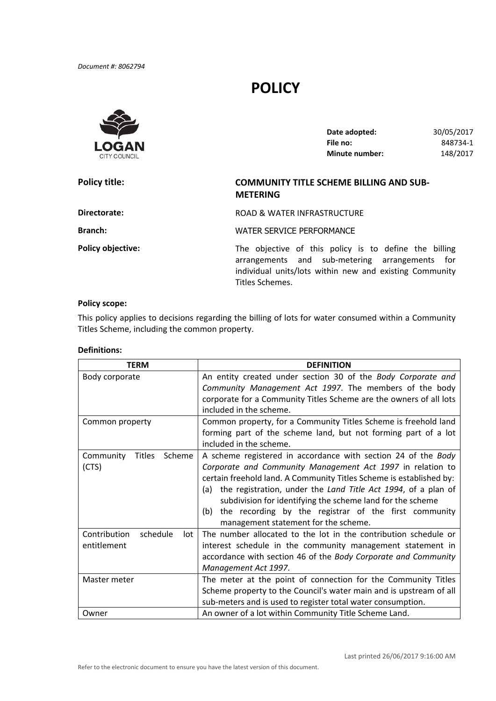*Document #: 8062794*

# **POLICY**



| Date adopted:         | 30/05/2017 |
|-----------------------|------------|
| File no:              | 848734-1   |
| <b>Minute number:</b> | 148/2017   |

## **Policy title: COMMUNITY TITLE SCHEME BILLING AND SUB‐ METERING**

ROAD & WATER INFRASTRUCTURE

**Branch:**

**Directorate:**

**Policy title:** 

WATER SERVICE PERFORMANCE

**Policy objective:** The objective of this policy is to define the billing The objective of this policy is to define the billing<br>arrangements and sub-metering arrangements for individual units/lots within new and existing Community<br>Titles Schemes.

### **Policy scope:**

 This policy applies to decisions regarding the billing of lots for water consumed within a Community Titles Scheme, including the common property.

#### **Definitions:**

| <b>TERM</b>                          | <b>DEFINITION</b>                                                    |  |
|--------------------------------------|----------------------------------------------------------------------|--|
| Body corporate                       | An entity created under section 30 of the Body Corporate and         |  |
|                                      | Community Management Act 1997. The members of the body               |  |
|                                      | corporate for a Community Titles Scheme are the owners of all lots   |  |
|                                      | included in the scheme.                                              |  |
| Common property                      | Common property, for a Community Titles Scheme is freehold land      |  |
|                                      | forming part of the scheme land, but not forming part of a lot       |  |
|                                      | included in the scheme.                                              |  |
| <b>Titles</b><br>Community<br>Scheme | A scheme registered in accordance with section 24 of the Body        |  |
| (CTS)                                | Corporate and Community Management Act 1997 in relation to           |  |
|                                      | certain freehold land. A Community Titles Scheme is established by:  |  |
|                                      | the registration, under the Land Title Act 1994, of a plan of<br>(a) |  |
|                                      | subdivision for identifying the scheme land for the scheme           |  |
|                                      | the recording by the registrar of the first community<br>(b)         |  |
|                                      | management statement for the scheme.                                 |  |
| Contribution<br>schedule<br>lot      | The number allocated to the lot in the contribution schedule or      |  |
| entitlement                          | interest schedule in the community management statement in           |  |
|                                      | accordance with section 46 of the Body Corporate and Community       |  |
|                                      | Management Act 1997.                                                 |  |
| Master meter                         | The meter at the point of connection for the Community Titles        |  |
|                                      | Scheme property to the Council's water main and is upstream of all   |  |
|                                      | sub-meters and is used to register total water consumption.          |  |
| Owner                                | An owner of a lot within Community Title Scheme Land.                |  |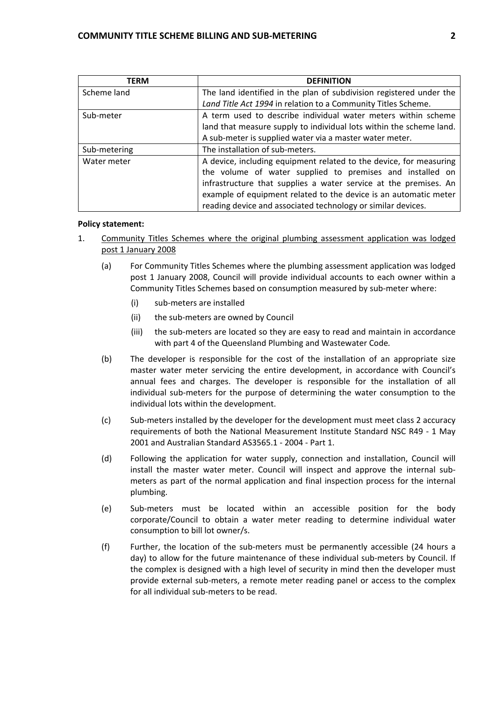| TERM         | <b>DEFINITION</b>                                                                                                               |
|--------------|---------------------------------------------------------------------------------------------------------------------------------|
| Scheme land  | The land identified in the plan of subdivision registered under the                                                             |
|              | Land Title Act 1994 in relation to a Community Titles Scheme.                                                                   |
| Sub-meter    | A term used to describe individual water meters within scheme                                                                   |
|              | land that measure supply to individual lots within the scheme land.                                                             |
|              | A sub-meter is supplied water via a master water meter.                                                                         |
| Sub-metering | The installation of sub-meters.                                                                                                 |
| Water meter  | A device, including equipment related to the device, for measuring<br>the volume of water supplied to premises and installed on |
|              | infrastructure that supplies a water service at the premises. An                                                                |
|              | example of equipment related to the device is an automatic meter                                                                |
|              | reading device and associated technology or similar devices.                                                                    |

#### **Policy statement:**

- 1. Community Titles Schemes where the original plumbing assessment application was lodged post 1 January 2008
	- (a) For Community Titles Schemes where the plumbing assessment application was lodged post 1 January 2008, Council will provide individual accounts to each owner within a Community Titles Schemes based on consumption measured by sub‐meter where:
		- (i) sub‐meters are installed
		- (ii) the sub‐meters are owned by Council
		- (iii) the sub‐meters are located so they are easy to read and maintain in accordance with part 4 of the Queensland Plumbing and Wastewater Code*.*
	- (b) The developer is responsible for the cost of the installation of an appropriate size master water meter servicing the entire development, in accordance with Council's annual fees and charges. The developer is responsible for the installation of all individual sub‐meters for the purpose of determining the water consumption to the individual lots within the development.
	- (c) Sub‐meters installed by the developer for the development must meet class 2 accuracy requirements of both the National Measurement Institute Standard NSC R49 ‐ 1 May 2001 and Australian Standard AS3565.1 ‐ 2004 ‐ Part 1.
	- (d) Following the application for water supply, connection and installation, Council will install the master water meter. Council will inspect and approve the internal sub‐ meters as part of the normal application and final inspection process for the internal plumbing.
	- (e) Sub‐meters must be located within an accessible position for the body corporate/Council to obtain a water meter reading to determine individual water consumption to bill lot owner/s.
	- (f) Further, the location of the sub‐meters must be permanently accessible (24 hours a day) to allow for the future maintenance of these individual sub‐meters by Council. If the complex is designed with a high level of security in mind then the developer must provide external sub‐meters, a remote meter reading panel or access to the complex for all individual sub‐meters to be read.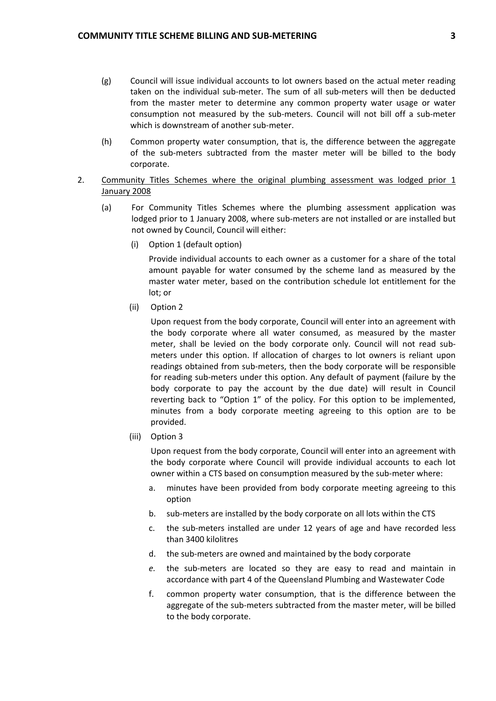- (g) Council will issue individual accounts to lot owners based on the actual meter reading taken on the individual sub‐meter. The sum of all sub‐meters will then be deducted from the master meter to determine any common property water usage or water consumption not measured by the sub‐meters. Council will not bill off a sub‐meter which is downstream of another sub‐meter.
- (h) Common property water consumption, that is, the difference between the aggregate of the sub‐meters subtracted from the master meter will be billed to the body corporate.
- 2. Community Titles Schemes where the original plumbing assessment was lodged prior 1 January 2008
	- (a) For Community Titles Schemes where the plumbing assessment application was lodged prior to 1 January 2008, where sub‐meters are not installed or are installed but not owned by Council, Council will either:
		- (i) Option 1 (default option)

 Provide individual accounts to each owner as a customer for a share of the total amount payable for water consumed by the scheme land as measured by the master water meter, based on the contribution schedule lot entitlement for the lot; or

(ii) Option 2

 Upon request from the body corporate, Council will enter into an agreement with the body corporate where all water consumed, as measured by the master meter, shall be levied on the body corporate only. Council will not read sub‐ meters under this option. If allocation of charges to lot owners is reliant upon readings obtained from sub‐meters, then the body corporate will be responsible for reading sub‐meters under this option. Any default of payment (failure by the body corporate to pay the account by the due date) will result in Council reverting back to "Option 1" of the policy. For this option to be implemented, minutes from a body corporate meeting agreeing to this option are to be provided.

(iii) Option 3

 Upon request from the body corporate, Council will enter into an agreement with the body corporate where Council will provide individual accounts to each lot owner within a CTS based on consumption measured by the sub-meter where:

- a. minutes have been provided from body corporate meeting agreeing to this option
- b. sub-meters are installed by the body corporate on all lots within the CTS
- c. the sub‐meters installed are under 12 years of age and have recorded less than 3400 kilolitres
- d. the sub‐meters are owned and maintained by the body corporate
- *e.* the sub‐meters are located so they are easy to read and maintain in accordance with part 4 of the Queensland Plumbing and Wastewater Code
- f. common property water consumption, that is the difference between the aggregate of the sub‐meters subtracted from the master meter, will be billed to the body corporate.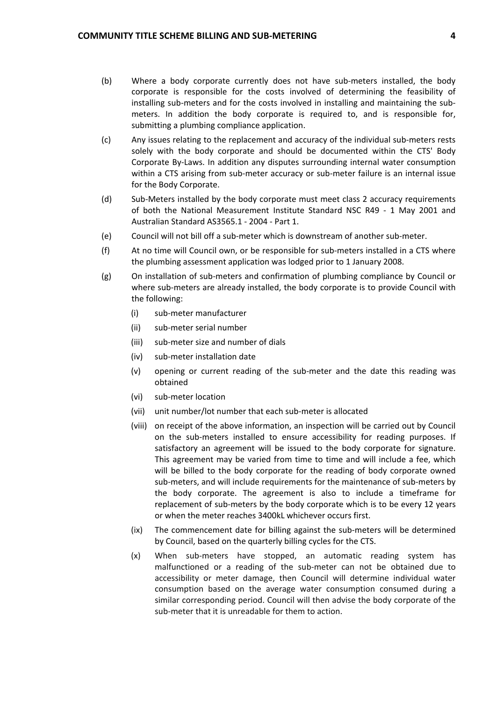- (b) Where a body corporate currently does not have sub‐meters installed, the body corporate is responsible for the costs involved of determining the feasibility of installing sub-meters and for the costs involved in installing and maintaining the sub- meters. In addition the body corporate is required to, and is responsible for, submitting a plumbing compliance application.
- (c) Any issues relating to the replacement and accuracy of the individual sub‐meters rests solely with the body corporate and should be documented within the CTS' Body Corporate By‐Laws. In addition any disputes surrounding internal water consumption within a CTS arising from sub‐meter accuracy or sub‐meter failure is an internal issue for the Body Corporate.
- (d) Sub‐Meters installed by the body corporate must meet class 2 accuracy requirements of both the National Measurement Institute Standard NSC R49 ‐ 1 May 2001 and Australian Standard AS3565.1 ‐ 2004 ‐ Part 1.
- (e) Council will not bill off a sub‐meter which is downstream of another sub‐meter.
- (f) At no time will Council own, or be responsible for sub‐meters installed in a CTS where the plumbing assessment application was lodged prior to 1 January 2008.
- (g) On installation of sub‐meters and confirmation of plumbing compliance by Council or where sub-meters are already installed, the body corporate is to provide Council with the following:
	- (i) sub‐meter manufacturer
	- (ii) sub‐meter serial number
	- (iii) sub‐meter size and number of dials
	- (iv) sub‐meter installation date
	- (v) opening or current reading of the sub‐meter and the date this reading was obtained
	- (vi) sub‐meter location
	- (vii) unit number/lot number that each sub‐meter is allocated
	- (viii) on receipt of the above information, an inspection will be carried out by Council on the sub-meters installed to ensure accessibility for reading purposes. If satisfactory an agreement will be issued to the body corporate for signature. This agreement may be varied from time to time and will include a fee, which will be billed to the body corporate for the reading of body corporate owned sub‐meters, and will include requirements for the maintenance of sub‐meters by the body corporate. The agreement is also to include a timeframe for replacement of sub‐meters by the body corporate which is to be every 12 years or when the meter reaches 3400kL whichever occurs first.
	- (ix) The commencement date for billing against the sub‐meters will be determined by Council, based on the quarterly billing cycles for the CTS.
	- (x) When sub‐meters have stopped, an automatic reading system has malfunctioned or a reading of the sub-meter can not be obtained due to accessibility or meter damage, then Council will determine individual water consumption based on the average water consumption consumed during a similar corresponding period. Council will then advise the body corporate of the sub‐meter that it is unreadable for them to action.